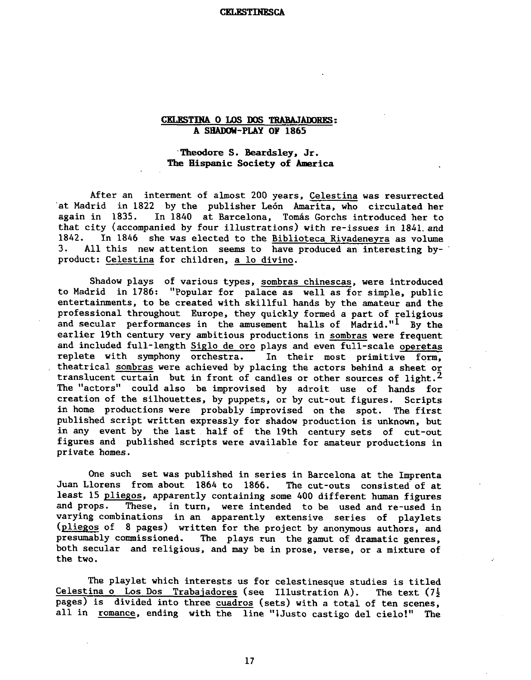#### **CKLESTINESCA**

## **CELBSTINA 0 LOS WS TRABAJAWBES:**  A SHADOW-PLAY OF 1865

## 'Thedore S. Beardsley. Jr. The Hispanic Society of America

After an interment of almost 200 years, Celestina was resurrected at Madrid in 1822 by the publisher León Amarita, who circulated her again in 1835. In 1840 at Barcelona. Tomás Gorchs introduced her to In 1840 at Barcelona, Tomás Gorchs introduced her to that city (accompanied by four illustrations) with re-issues in 1841 and<br>1842. In 1846, she was elected to the Biblioteca Rivadeneyra as volume 1842. In 1846 she was elected to the  $\underline{\text{Biblioteca Rivadeneyra}}$  as volume 3. All this new attention seems to have produced an interesting by-All this new attention seems to have produced an interesting byproduct: Celestina for children, a 10 divino.

Shadow plays of various types, sombras chinescas, were introduced to Madrid in 1786: "Popular for palace as well as for simple, public entertainments, to be created with skillful hands by the amateur and the professional throughout Europe, they quickly formed a part of religious and secular performances in the amusement halls of Madrid."<sup>1</sup> By the earlier 19th century very ambitious productions in sombras were frequent and included full-length Siglo de oro plays and even full-scale operetas replete with symphony orchestra. In their most primitive form, theatrical sombras were achieved by placing the actors behind a sheet or translucent curtain but in front of candles or other sources of light.<sup>2</sup> The "actors" could also be improvised by adroit use of hands for creation of the silhouettes, by puppets, or by cut-out figures. Scripts in home productions were probably improvised on the spot. The first published script written expressly for shadow production is unknown, but in any event by the last half of the 19th century sets of cut-out figures and published scripts were available for amateur productions in private homes.

One such set was published in series in Barcelona at the Imprenta<br>lorens from about 1864 to 1866. The cut-outs consisted of at Juan Llorens from about 1864 to 1866. least 15 pliegos, apparently containing some 400 different human figures and props. These, in turn, were intended to be used and re-used in varying combinations in an apparently extensive series of playlets (pliegos of 8 pages) written for the project by anonymous authors, and presumably commissioned. The plays run the gamut of dramatic genres, both secular and religious, and may be in prose, verse, or a mixture of the two.

The playlet which interests us for celestinesque studies is titled Celestina o Los Dos Trabaiadores (see Illustration **A).** The text (76 pages) is divided into three cuadros (sets) with a total of ten scenes, all in romance, ending with the line "iJusto castigo del cielo!" The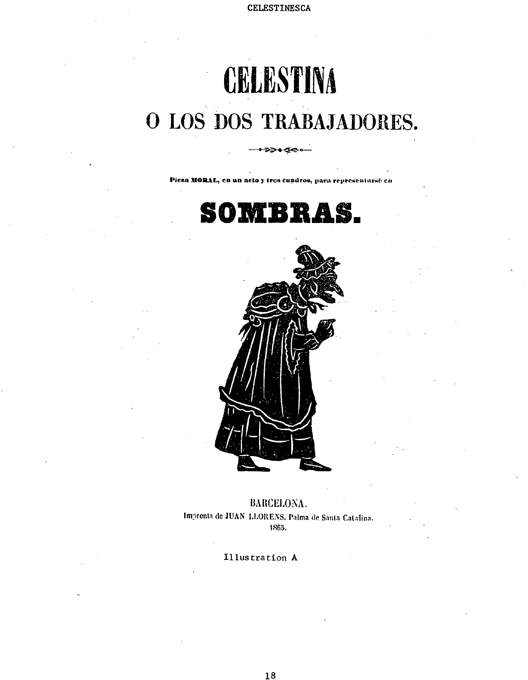CELESTINESCA

# **CELESTINA** O LOS DOS TRABAJADORES.

Pieza MORAL, en un acto y tres cuadros, para representarsé en

⋙≁⊄∉



**BARCELONA.** Imprenta de JUAN LLORENS, Palma de Santa Catalina. 1865.

Illustration A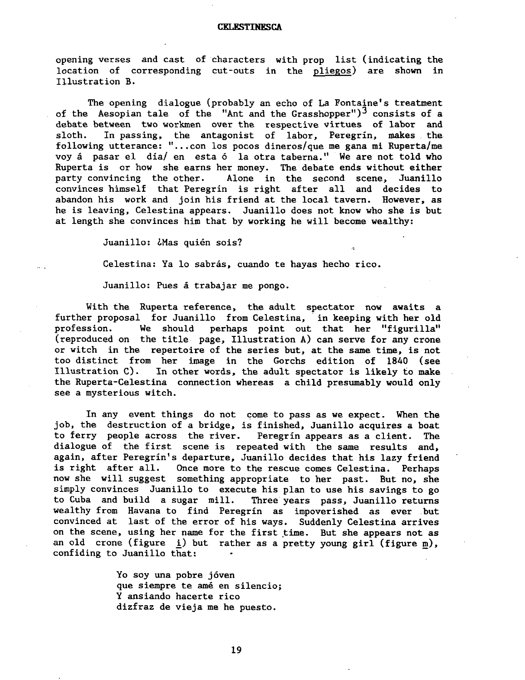## **CKLESTINESCA**

opening verses and cast of characters with prop list (indicating the location of corresponding cut-outs in the pliegos) are shown in Illustration B.

The opening dialogue (probably an echo of La Fontaine's treatment of the Aesopian tale of the "Ant and the Grasshopper") $3$  consists of a debate between two workmen over the respective virtues of labor and sloth. In passing, the antagonist of labor, Peregrin, makes the following utterance: "...con los pocos dineros/que me gana mi Ruperta/me voy á pasar el día/ en esta ó la otra taberna." We are not told who Ruperta is or how she earns her money. The debate ends without either<br>party convincing the other. Alone in the second scene, Juanillo party convincing the other. convinces himself that Peregrin is right after all and decides to abandon his work and join his friend at the local tavern. However, as he is leaving, Celestina appears. Juanillo does not know who she is but at length she convinces him that by working he will become wealthy:

Juanillo: ¿Mas quién sois?

Celestina: Ya lo sabrás, cuando te hayas hecho rico.

Juanillo: Pues **5** trabajar me pongo.

With the Ruperta reference, the adult spectator now awaits a further proposal for Juanillo from Celestina, in keeping with her old profession. We should perhaps point out that her "figurilla" profession. We should perhaps point out that her "figurilla"<br>(reproduced on the title page, Illustration A) can serve for any crone or witch in the repertoire of the series but, at the same time, is not too distinct from her image in the Gorchs edition of 1840 (see In other words, the adult spectator is likely to make the Ruperta-Celestina connection whereas a child presumably would only see a mysterious witch.

In any event things do not come to pass as we expect. When the job, the destruction of a bridge, is finished, Juanillo acquires a boat to ferry people across the river. Peregrin appears as a client. The dialogue of the first scene is repeated with the same results and, again, after Peregrin's departure, Juanillo decides that his lazy friend . is right after all. Once more to the rescue comes Celestina. Perhaps now she will suggest something appropriate to her past. But no, she simply convinces Juanillo to execute his plan to use his savings to go to Cuba and build a sugar mill. Three years pass, Juanillo returns wealthy from Havana to find Peregrin as impoverished as ever but convinced at last of the error of his ways. Suddenly Celestina arrives on the scene, using her name for the first time. But she appears not as an old crone (figure i) but rather as a pretty young girl (figure m), confiding to Juanillo that:

> Yo soy una pobre jóven que siempre te am6 en silencio; **Y** ansiando hacerte rico dizfraz de vieja me he puesto.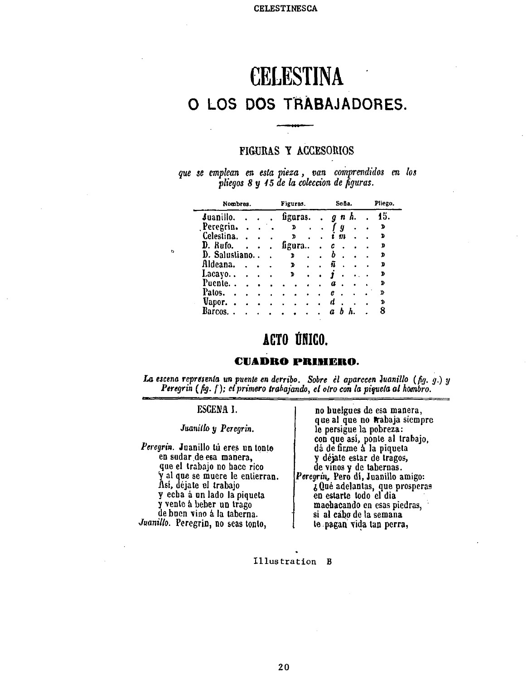## **CELESTINA 0 LOS DOS TRABAJADORES.**

## **FIGURAS P ACCESORIOS**

*que* **se** *emplean en esla pieza* , *van ckprendidos* **cn** *<sup>108</sup> pliegos 8 y 65 de la cokccion de figuras.* 

| Nombres.      |  |  | Figuras. |  | Seña. | Pliego.        |     |
|---------------|--|--|----------|--|-------|----------------|-----|
| Juanillo.     |  |  | figuras. |  |       | $g \, n \, h.$ | 15. |
| Peregrin.     |  |  | ъ        |  |       | g              | D   |
| Celestina.    |  |  | D        |  |       | m              | ב   |
| D. Rufo.      |  |  | Lgura    |  |       | c              | D   |
| D. Salustiano |  |  | D        |  |       | b              | D   |
| Aldeana.      |  |  | D        |  |       | ñ              | פ   |
| Lacayo        |  |  | D        |  |       |                | D   |
| Puente        |  |  |          |  |       | a              | D   |
| Patos.        |  |  |          |  |       | e              | D   |
| Vapor.        |  |  |          |  |       | 1.             | ъ   |
| Rarcos.       |  |  |          |  |       |                | R   |

## ACTO ÚNICO.

## **CUADRO PRINEICO.**

*La escena representa un puente en derribo. Sobre el aparccen Juanillo (fig. g.) y Perqrin* (fig. **f** ); *elprimero trahajando, el olro con* la *piguela a1 hmbro.* **<sup>P</sup>**

## **ESCENA I.**

*Jwnilb y Peregrin.* 

*Peregrin.* Juanillo tu eres un tonto en sudar de esa manera, que el trabajo no hacc rico y a1 qoe se muere le entierran. Así, déjate el trabajo y echa á un lado la piqueta<br>y vente á beber un trago de buen vino a la taberna. Juanillo. Peregrin, no seas tonto,

no buelgues de esa manera, que al que no trabaja siempre<br>le persigue la pobreza: con que asl, ponle a1 trabajo, **di** de firm *h* la piquela y déjate estar de tragos,<br>de vinos y de tabernas. *Peregrin,* Pero **dl,** Juanillo amigo:  $\zeta$  Qué adelantas, que prosperas en estarte todo el dia machacando en esas piedras, si a1 cabo de la semana **b** pagad vida tan pcrra,

**Illustration B**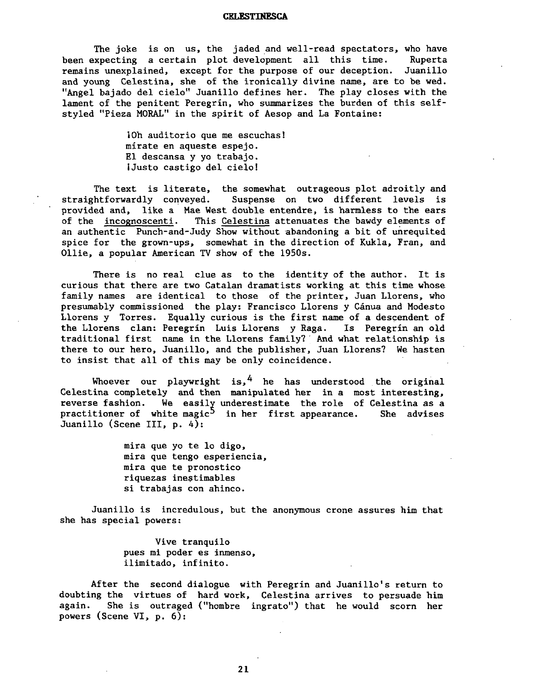## **CELESTINESCA**

The joke is on us, the jaded and well-read spectators, who have<br>xpecting a certain plot development all this time. Ruperta been expecting a certain plot development all this time. remains unexplained, except for the purpose of our deception. Juanillo and young Celestina, she of the ironically divine name, are to be wed. "Angel bajado del cielo" Juanillo defines her. The play closes with the lament of the penitent Peregrin, who summarizes the burden of this selfstyled "Pieza MORAL" in the spirit of Aesop and La Fontaine:

> iOh auditorio que me escuchas! mirate en aqueste espejo. El descansa y yo trabajo. iJusto castigo del cielo!

The text is literate, the somewhat outrageous plot adroitly and straightforwardly conveyed. Suspense on two different levels is provided and, like a Mae West double entendre, is harmless to the ears of the incognoscenti. This Celestina attenuates the bawdy elements of an authentic Punch-and-Judy Show without abandoning a bit of unrequited spice for the grown-ups, somewhat in the direction of Kukla, Fran, and Ollie, a popular American TV show of the 1950s.

There is no real clue as to the identity of the author. It is curious that there are two Catalan dramatists working at this time whose family names are identical to those of the printer, Juan Llorens, who presumably commissioned the play: Francisco Llorens y Cdnua and Modesto Llorens y Torres. Equally curious is the first name of a descendent of the Llorens clan: Peregrin Luis Llorens y Raga. Is Peregrin an old traditional first name in the Llorens family?' And what relationship is there to our hero, Juanillo, and the publisher, Juan Llorens? We hasten to insist that all of this may be only coincidence.

Whoever our playwright is,  $4$  he has understood the original Celestina completely and then manipulated her in a most interesting, reverse fashion. We easily underestimate the role of Celestina as a practitioner of white magic<sup>5</sup> in her first appearance. She advises Juanillo (Scene 111, p. 4):

> mira que yo te 10 digo, mira que tengo esperiencia, mira que te pronostico riquezas inestimables si trabajas con ahinco.

Juanillo is incredulous, but the anonymous crone assures him that she has special powers:

> Vive tranquil0 pues mi poder es inmenso, ilimitado, infinito.

After the second dialogue with Peregrin and Juanillo's return to doubting the virtues of hard work, Celestina arrives to persuade him again. She is outraged ("hombre ingrate") that he would scorn her powers (Scene VI, p. 6):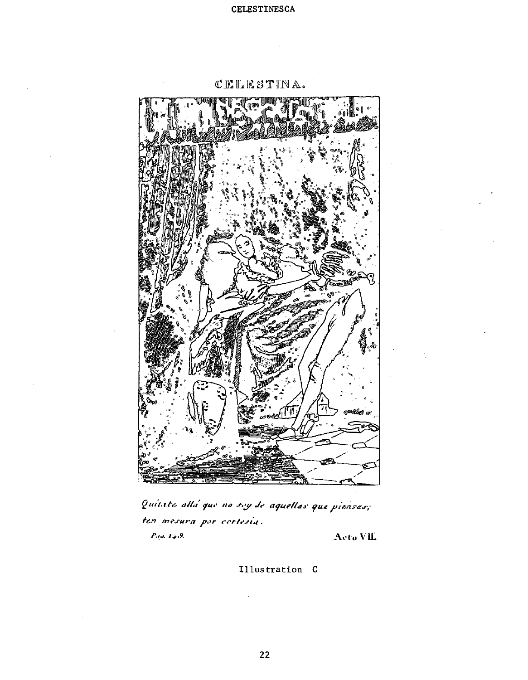

CELESTINA.

Quitate alla que no sey de aquellas que piensas; ten mesura por cortesia.  $P_{3,4}, T_{4,3}$ . Acto VIL

Illustration C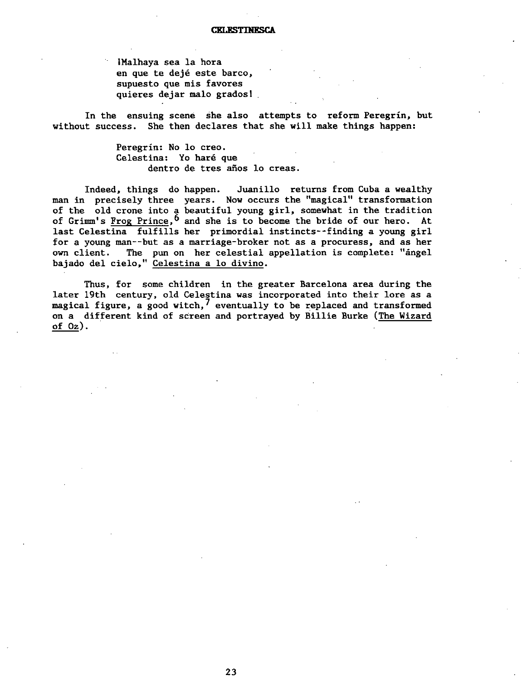iMalhaya sea la hora en que te dejé este barco, supuesto que mis favores quieres dejar malo grados!

In the ensuing scene she also attempts to reform Peregrin, but without success. She then declares that she will make things happen:

> Peregrín: No lo creo.<br>Celestina: Yo haré que dentro de tres años lo creas.

Indeed, things do happen. Juanillo returns from Cuba a wealthy man in precisely three years. Now occurs the "magical" transformation of the old crone into a beautiful young girl, somewhat in the tradition of Grimm's Frog Prince,  $6$  and she is to become the bride of our hero. At last Celestina fulfills her primordial instincts--finding a young girl for a young man--but as a marriage-broker not as a procuress, and as her own client. The pun on her celestial appellation is complete: "angel bajado del cielo," Celestina a 10 divino.

Thus, for some children in the greater Barcelona area during the later 19th century, old Celestina was incorporated into their lore as a magical figure, a good witch, $7$  eventually to be replaced and transformed on a different kind of screen and portrayed by Billie Burke (The Wizard of **02).**